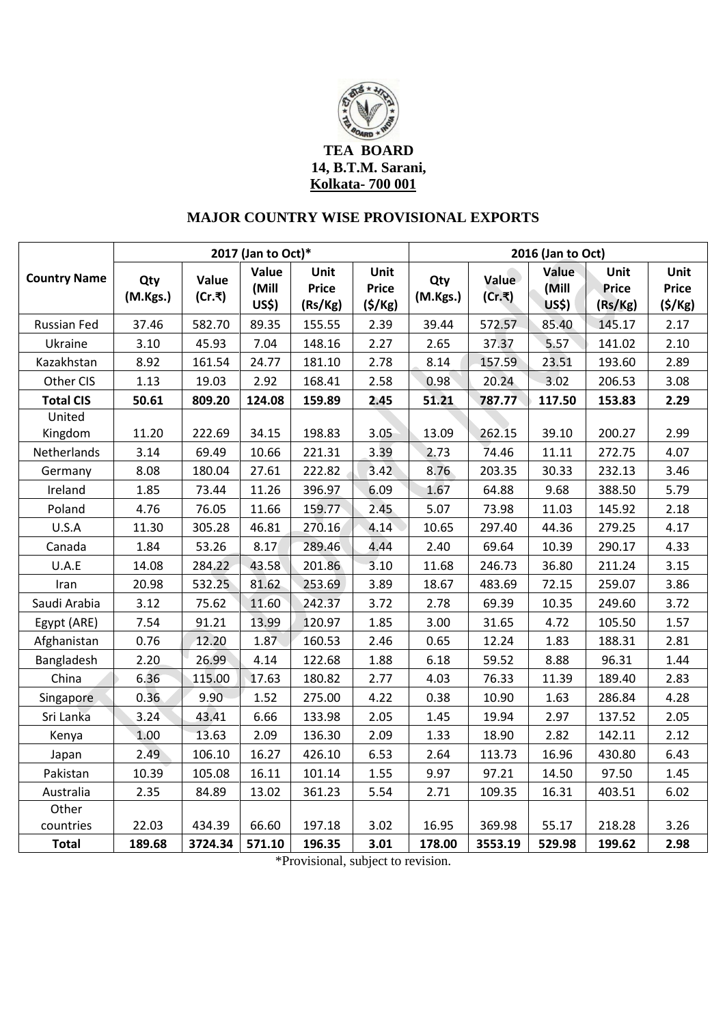

## **MAJOR COUNTRY WISE PROVISIONAL EXPORTS**

|                     | 2017 (Jan to Oct)* |                 |                         |                                 |                                | 2016 (Jan to Oct) |                 |                                |                          |                                |
|---------------------|--------------------|-----------------|-------------------------|---------------------------------|--------------------------------|-------------------|-----------------|--------------------------------|--------------------------|--------------------------------|
| <b>Country Name</b> | Qty<br>(M.Kgs.)    | Value<br>(Cr.₹) | Value<br>(Mill<br>US\$) | Unit<br><b>Price</b><br>(Rs/Kg) | Unit<br><b>Price</b><br>(5/Kg) | Qty<br>(M.Kgs.)   | Value<br>(Cr.₹) | Value<br>(Mill<br><b>US\$)</b> | Unit<br>Price<br>(Rs/Kg) | Unit<br><b>Price</b><br>(5/Kg) |
| Russian Fed         | 37.46              | 582.70          | 89.35                   | 155.55                          | 2.39                           | 39.44             | 572.57          | 85.40                          | 145.17                   | 2.17                           |
| Ukraine             | 3.10               | 45.93           | 7.04                    | 148.16                          | 2.27                           | 2.65              | 37.37           | 5.57                           | 141.02                   | 2.10                           |
| Kazakhstan          | 8.92               | 161.54          | 24.77                   | 181.10                          | 2.78                           | 8.14              | 157.59          | 23.51                          | 193.60                   | 2.89                           |
| Other CIS           | 1.13               | 19.03           | 2.92                    | 168.41                          | 2.58                           | 0.98              | 20.24           | 3.02                           | 206.53                   | 3.08                           |
| <b>Total CIS</b>    | 50.61              | 809.20          | 124.08                  | 159.89                          | 2.45                           | 51.21             | 787.77          | 117.50                         | 153.83                   | 2.29                           |
| United              |                    |                 |                         |                                 |                                |                   |                 |                                |                          |                                |
| Kingdom             | 11.20              | 222.69          | 34.15                   | 198.83                          | 3.05                           | 13.09             | 262.15          | 39.10                          | 200.27                   | 2.99                           |
| Netherlands         | 3.14               | 69.49           | 10.66                   | 221.31                          | 3.39                           | 2.73              | 74.46           | 11.11                          | 272.75                   | 4.07                           |
| Germany             | 8.08               | 180.04          | 27.61                   | 222.82                          | 3.42                           | 8.76              | 203.35          | 30.33                          | 232.13                   | 3.46                           |
| Ireland             | 1.85               | 73.44           | 11.26                   | 396.97                          | 6.09                           | 1.67              | 64.88           | 9.68                           | 388.50                   | 5.79                           |
| Poland              | 4.76               | 76.05           | 11.66                   | 159.77                          | 2.45                           | 5.07              | 73.98           | 11.03                          | 145.92                   | 2.18                           |
| U.S.A               | 11.30              | 305.28          | 46.81                   | 270.16                          | 4.14                           | 10.65             | 297.40          | 44.36                          | 279.25                   | 4.17                           |
| Canada              | 1.84               | 53.26           | 8.17                    | 289.46                          | 4.44                           | 2.40              | 69.64           | 10.39                          | 290.17                   | 4.33                           |
| U.A.E               | 14.08              | 284.22          | 43.58                   | 201.86                          | 3.10                           | 11.68             | 246.73          | 36.80                          | 211.24                   | 3.15                           |
| Iran                | 20.98              | 532.25          | 81.62                   | 253.69                          | 3.89                           | 18.67             | 483.69          | 72.15                          | 259.07                   | 3.86                           |
| Saudi Arabia        | 3.12               | 75.62           | 11.60                   | 242.37                          | 3.72                           | 2.78              | 69.39           | 10.35                          | 249.60                   | 3.72                           |
| Egypt (ARE)         | 7.54               | 91.21           | 13.99                   | 120.97                          | 1.85                           | 3.00              | 31.65           | 4.72                           | 105.50                   | 1.57                           |
| Afghanistan         | 0.76               | 12.20           | 1.87                    | 160.53                          | 2.46                           | 0.65              | 12.24           | 1.83                           | 188.31                   | 2.81                           |
| Bangladesh          | 2.20               | 26.99           | 4.14                    | 122.68                          | 1.88                           | 6.18              | 59.52           | 8.88                           | 96.31                    | 1.44                           |
| China               | 6.36               | 115.00          | 17.63                   | 180.82                          | 2.77                           | 4.03              | 76.33           | 11.39                          | 189.40                   | 2.83                           |
| Singapore           | 0.36               | 9.90            | 1.52                    | 275.00                          | 4.22                           | 0.38              | 10.90           | 1.63                           | 286.84                   | 4.28                           |
| Sri Lanka           | 3.24               | 43.41           | 6.66                    | 133.98                          | 2.05                           | 1.45              | 19.94           | 2.97                           | 137.52                   | 2.05                           |
| Kenya               | 1.00               | 13.63           | 2.09                    | 136.30                          | 2.09                           | 1.33              | 18.90           | 2.82                           | 142.11                   | 2.12                           |
| Japan               | 2.49               | 106.10          | 16.27                   | 426.10                          | 6.53                           | 2.64              | 113.73          | 16.96                          | 430.80                   | 6.43                           |
| Pakistan            | 10.39              | 105.08          | 16.11                   | 101.14                          | 1.55                           | 9.97              | 97.21           | 14.50                          | 97.50                    | 1.45                           |
| Australia           | 2.35               | 84.89           | 13.02                   | 361.23                          | 5.54                           | 2.71              | 109.35          | 16.31                          | 403.51                   | 6.02                           |
| Other               |                    |                 |                         |                                 |                                |                   |                 |                                |                          |                                |
| countries           | 22.03              | 434.39          | 66.60                   | 197.18                          | 3.02                           | 16.95             | 369.98          | 55.17                          | 218.28                   | 3.26                           |
| <b>Total</b>        | 189.68             | 3724.34         | 571.10                  | 196.35                          | 3.01                           | 178.00            | 3553.19         | 529.98                         | 199.62                   | 2.98                           |

\*Provisional, subject to revision.